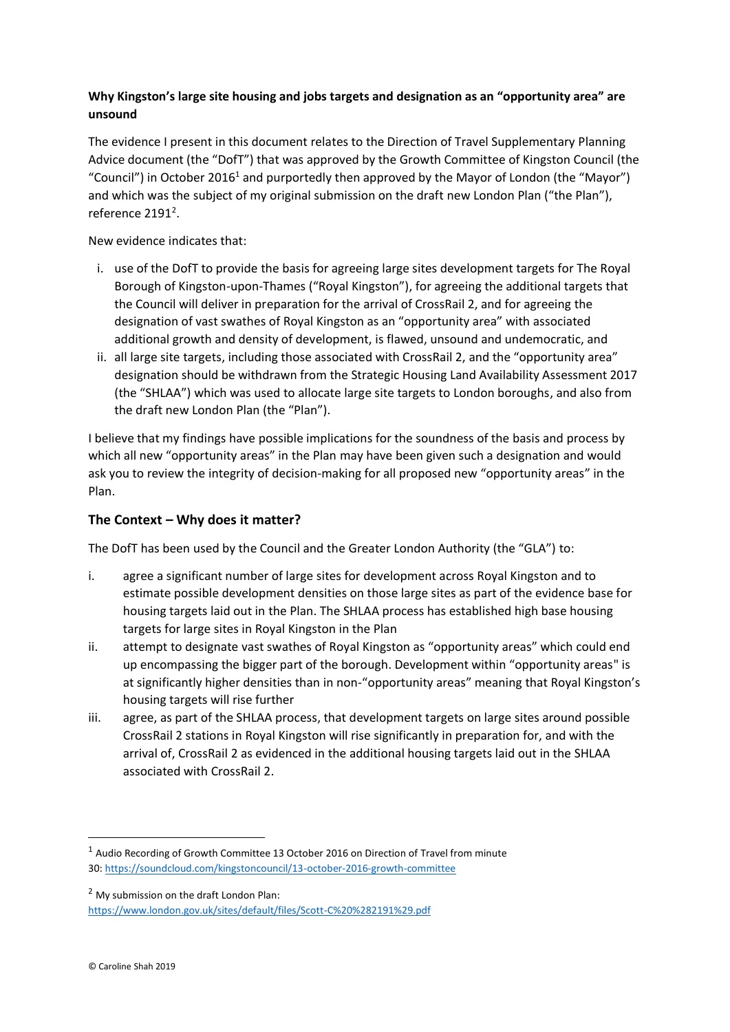## **Why Kingston's large site housing and jobs targets and designation as an "opportunity area" are unsound**

The evidence I present in this document relates to the Direction of Travel Supplementary Planning Advice document (the "DofT") that was approved by the Growth Committee of Kingston Council (the "Council") in October 2016<sup>1</sup> and purportedly then approved by the Mayor of London (the "Mayor") and which was the subject of my original submission on the draft new London Plan ("the Plan"), reference 2191<sup>2</sup>.

New evidence indicates that:

- i. use of the DofT to provide the basis for agreeing large sites development targets for The Royal Borough of Kingston-upon-Thames ("Royal Kingston"), for agreeing the additional targets that the Council will deliver in preparation for the arrival of CrossRail 2, and for agreeing the designation of vast swathes of Royal Kingston as an "opportunity area" with associated additional growth and density of development, is flawed, unsound and undemocratic, and
- ii. all large site targets, including those associated with CrossRail 2, and the "opportunity area" designation should be withdrawn from the Strategic Housing Land Availability Assessment 2017 (the "SHLAA") which was used to allocate large site targets to London boroughs, and also from the draft new London Plan (the "Plan").

I believe that my findings have possible implications for the soundness of the basis and process by which all new "opportunity areas" in the Plan may have been given such a designation and would ask you to review the integrity of decision-making for all proposed new "opportunity areas" in the Plan.

# **The Context – Why does it matter?**

The DofT has been used by the Council and the Greater London Authority (the "GLA") to:

- i. agree a significant number of large sites for development across Royal Kingston and to estimate possible development densities on those large sites as part of the evidence base for housing targets laid out in the Plan. The SHLAA process has established high base housing targets for large sites in Royal Kingston in the Plan
- ii. attempt to designate vast swathes of Royal Kingston as "opportunity areas" which could end up encompassing the bigger part of the borough. Development within "opportunity areas" is at significantly higher densities than in non-"opportunity areas" meaning that Royal Kingston's housing targets will rise further
- iii. agree, as part of the SHLAA process, that development targets on large sites around possible CrossRail 2 stations in Royal Kingston will rise significantly in preparation for, and with the arrival of, CrossRail 2 as evidenced in the additional housing targets laid out in the SHLAA associated with CrossRail 2.

<sup>2</sup> My submission on the draft London Plan:

<https://www.london.gov.uk/sites/default/files/Scott-C%20%282191%29.pdf>

 $<sup>1</sup>$  Audio Recording of Growth Committee 13 October 2016 on Direction of Travel from minute</sup> 30[: https://soundcloud.com/kingstoncouncil/13-october-2016-growth-committee](https://soundcloud.com/kingstoncouncil/13-october-2016-growth-committee)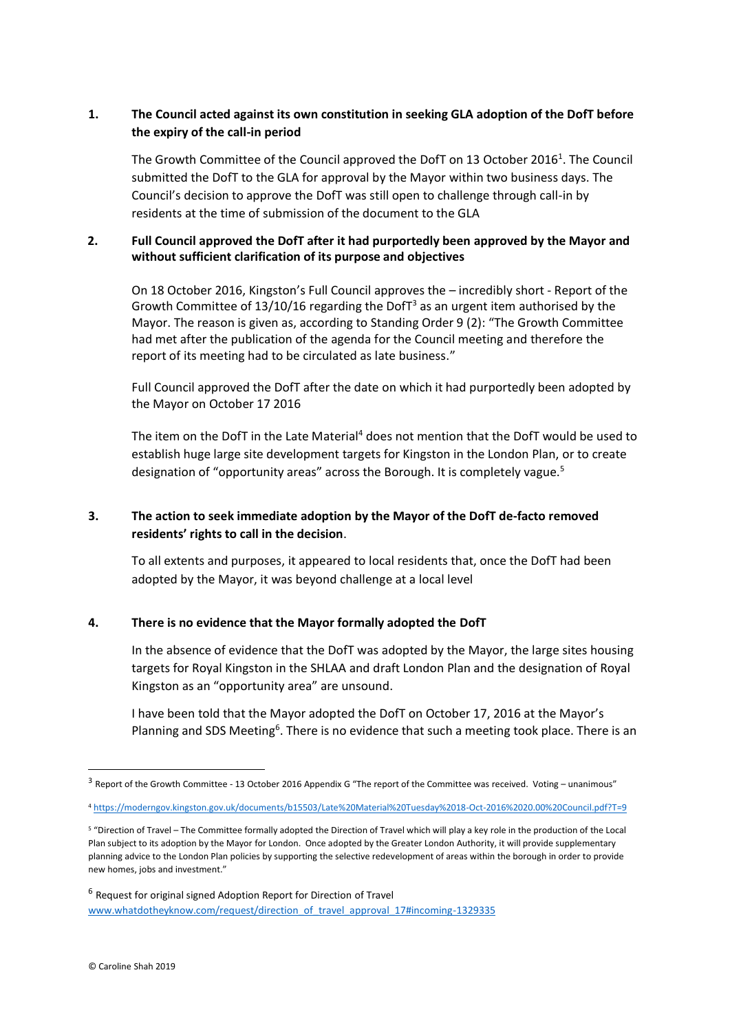## **1. The Council acted against its own constitution in seeking GLA adoption of the DofT before the expiry of the call-in period**

The Growth Committee of the Council approved the DofT on 13 October 2016<sup>1</sup>. The Council submitted the DofT to the GLA for approval by the Mayor within two business days. The Council's decision to approve the DofT was still open to challenge through call-in by residents at the time of submission of the document to the GLA

#### **2. Full Council approved the DofT after it had purportedly been approved by the Mayor and without sufficient clarification of its purpose and objectives**

On 18 October 2016, Kingston's Full Council approves the – incredibly short - Report of the Growth Committee of 13/10/16 regarding the DofT<sup>3</sup> as an urgent item authorised by the Mayor. The reason is given as, according to Standing Order 9 (2): "The Growth Committee had met after the publication of the agenda for the Council meeting and therefore the report of its meeting had to be circulated as late business."

Full Council approved the DofT after the date on which it had purportedly been adopted by the Mayor on October 17 2016

The item on the DofT in the Late Material<sup>4</sup> does not mention that the DofT would be used to establish huge large site development targets for Kingston in the London Plan, or to create designation of "opportunity areas" across the Borough. It is completely vague.<sup>5</sup>

# **3. The action to seek immediate adoption by the Mayor of the DofT de-facto removed residents' rights to call in the decision**.

To all extents and purposes, it appeared to local residents that, once the DofT had been adopted by the Mayor, it was beyond challenge at a local level

#### **4. There is no evidence that the Mayor formally adopted the DofT**

In the absence of evidence that the DofT was adopted by the Mayor, the large sites housing targets for Royal Kingston in the SHLAA and draft London Plan and the designation of Royal Kingston as an "opportunity area" are unsound.

I have been told that the Mayor adopted the DofT on October 17, 2016 at the Mayor's Planning and SDS Meeting<sup>6</sup>. There is no evidence that such a meeting took place. There is an

<sup>&</sup>lt;sup>3</sup> Report of the Growth Committee - 13 October 2016 Appendix G "The report of the Committee was received. Voting – unanimous"

<sup>4</sup> <https://moderngov.kingston.gov.uk/documents/b15503/Late%20Material%20Tuesday%2018-Oct-2016%2020.00%20Council.pdf?T=9>

<sup>5</sup> "Direction of Travel – The Committee formally adopted the Direction of Travel which will play a key role in the production of the Local Plan subject to its adoption by the Mayor for London. Once adopted by the Greater London Authority, it will provide supplementary planning advice to the London Plan policies by supporting the selective redevelopment of areas within the borough in order to provide new homes, jobs and investment."

<sup>&</sup>lt;sup>6</sup> Request for original signed Adoption Report for Direction of Travel [www.whatdotheyknow.com/request/direction\\_of\\_travel\\_approval\\_17#incoming-1329335](http://www.whatdotheyknow.com/request/direction_of_travel_approval_17#incoming-1329335)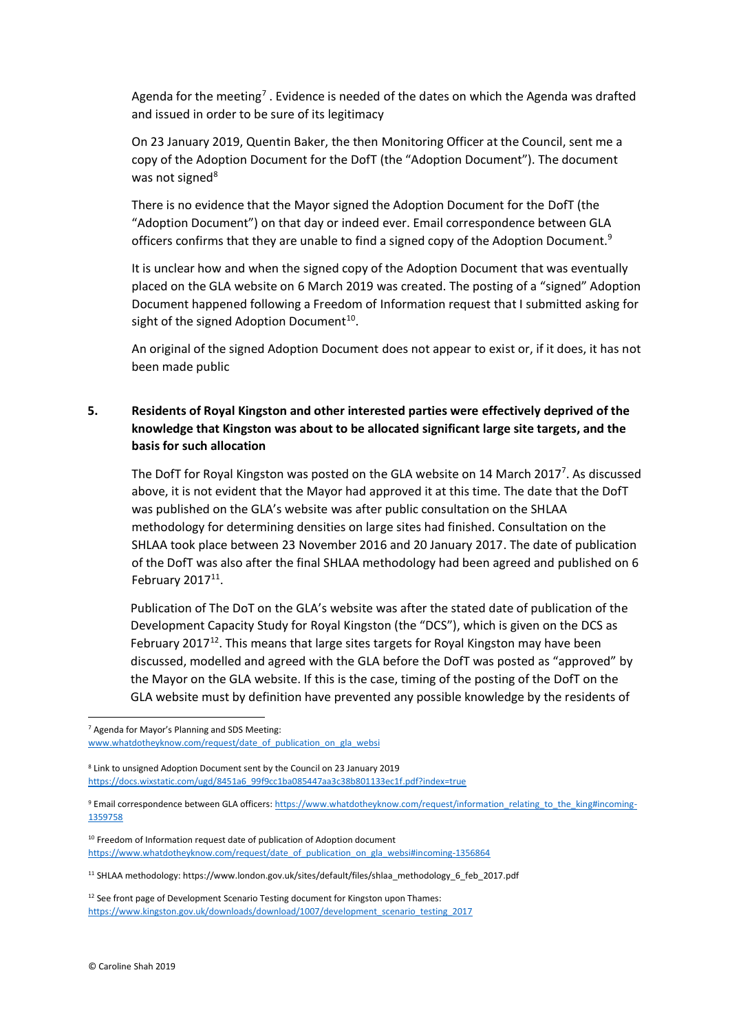Agenda for the meeting<sup>7</sup> . Evidence is needed of the dates on which the Agenda was drafted and issued in order to be sure of its legitimacy

On 23 January 2019, Quentin Baker, the then Monitoring Officer at the Council, sent me a copy of the Adoption Document for the DofT (the "Adoption Document"). The document was not signed<sup>8</sup>

There is no evidence that the Mayor signed the Adoption Document for the DofT (the "Adoption Document") on that day or indeed ever. Email correspondence between GLA officers confirms that they are unable to find a signed copy of the Adoption Document.<sup>9</sup>

It is unclear how and when the signed copy of the Adoption Document that was eventually placed on the GLA website on 6 March 2019 was created. The posting of a "signed" Adoption Document happened following a Freedom of Information request that I submitted asking for sight of the signed Adoption Document $^{10}$ .

An original of the signed Adoption Document does not appear to exist or, if it does, it has not been made public

## **5. Residents of Royal Kingston and other interested parties were effectively deprived of the knowledge that Kingston was about to be allocated significant large site targets, and the basis for such allocation**

The DofT for Royal Kingston was posted on the GLA website on 14 March 2017<sup>7</sup>. As discussed above, it is not evident that the Mayor had approved it at this time. The date that the DofT was published on the GLA's website was after public consultation on the SHLAA methodology for determining densities on large sites had finished. Consultation on the SHLAA took place between 23 November 2016 and 20 January 2017. The date of publication of the DofT was also after the final SHLAA methodology had been agreed and published on 6 February  $2017^{11}$ .

Publication of The DoT on the GLA's website was after the stated date of publication of the Development Capacity Study for Royal Kingston (the "DCS"), which is given on the DCS as February 2017<sup>12</sup>. This means that large sites targets for Royal Kingston may have been discussed, modelled and agreed with the GLA before the DofT was posted as "approved" by the Mayor on the GLA website. If this is the case, timing of the posting of the DofT on the GLA website must by definition have prevented any possible knowledge by the residents of

<sup>7</sup> Agenda for Mayor's Planning and SDS Meeting: [www.whatdotheyknow.com/request/date\\_of\\_publication\\_on\\_gla\\_websi](http://www.whatdotheyknow.com/request/date_of_publication_on_gla_websi)

<sup>8</sup> Link to unsigned Adoption Document sent by the Council on 23 January 2019 [https://docs.wixstatic.com/ugd/8451a6\\_99f9cc1ba085447aa3c38b801133ec1f.pdf?index=true](https://docs.wixstatic.com/ugd/8451a6_99f9cc1ba085447aa3c38b801133ec1f.pdf?index=true)

<sup>9</sup> Email correspondence between GLA officers[: https://www.whatdotheyknow.com/request/information\\_relating\\_to\\_the\\_king#incoming-](https://www.whatdotheyknow.com/request/information_relating_to_the_king#incoming-1359758)[1359758](https://www.whatdotheyknow.com/request/information_relating_to_the_king#incoming-1359758)

<sup>&</sup>lt;sup>10</sup> Freedom of Information request date of publication of Adoption document [https://www.whatdotheyknow.com/request/date\\_of\\_publication\\_on\\_gla\\_websi#incoming-1356864](https://www.whatdotheyknow.com/request/date_of_publication_on_gla_websi#incoming-1356864)

<sup>11</sup> SHLAA methodology: https://www.london.gov.uk/sites/default/files/shlaa\_methodology\_6\_feb\_2017.pdf

<sup>&</sup>lt;sup>12</sup> See front page of Development Scenario Testing document for Kingston upon Thames: https://www.kingston.gov.uk/downloads/download/1007/development\_scenario\_testing\_2017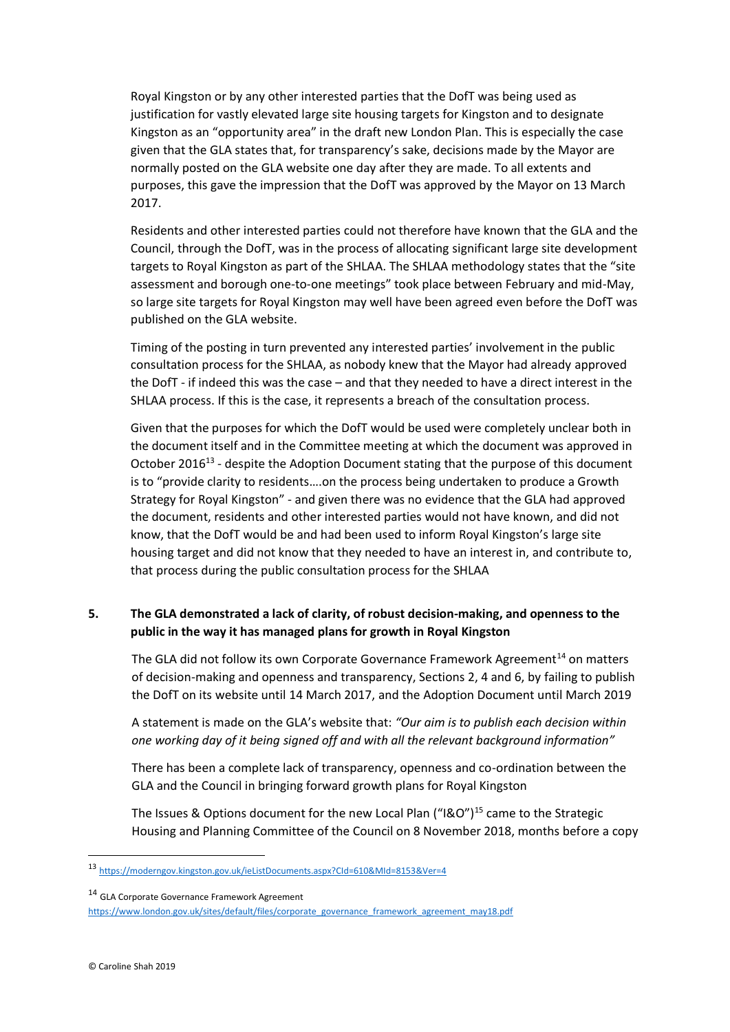Royal Kingston or by any other interested parties that the DofT was being used as justification for vastly elevated large site housing targets for Kingston and to designate Kingston as an "opportunity area" in the draft new London Plan. This is especially the case given that the GLA states that, for transparency's sake, decisions made by the Mayor are normally posted on the GLA website one day after they are made. To all extents and purposes, this gave the impression that the DofT was approved by the Mayor on 13 March 2017.

Residents and other interested parties could not therefore have known that the GLA and the Council, through the DofT, was in the process of allocating significant large site development targets to Royal Kingston as part of the SHLAA. The SHLAA methodology states that the "site assessment and borough one-to-one meetings" took place between February and mid-May, so large site targets for Royal Kingston may well have been agreed even before the DofT was published on the GLA website.

Timing of the posting in turn prevented any interested parties' involvement in the public consultation process for the SHLAA, as nobody knew that the Mayor had already approved the DofT - if indeed this was the case – and that they needed to have a direct interest in the SHLAA process. If this is the case, it represents a breach of the consultation process.

Given that the purposes for which the DofT would be used were completely unclear both in the document itself and in the Committee meeting at which the document was approved in October 2016<sup>13</sup> - despite the Adoption Document stating that the purpose of this document is to "provide clarity to residents….on the process being undertaken to produce a Growth Strategy for Royal Kingston" - and given there was no evidence that the GLA had approved the document, residents and other interested parties would not have known, and did not know, that the DofT would be and had been used to inform Royal Kingston's large site housing target and did not know that they needed to have an interest in, and contribute to, that process during the public consultation process for the SHLAA

## **5. The GLA demonstrated a lack of clarity, of robust decision-making, and openness to the public in the way it has managed plans for growth in Royal Kingston**

The GLA did not follow its own Corporate Governance Framework Agreement $14$  on matters of decision-making and openness and transparency, Sections 2, 4 and 6, by failing to publish the DofT on its website until 14 March 2017, and the Adoption Document until March 2019

A statement is made on the GLA's website that: *"Our aim is to publish each decision within one working day of it being signed off and with all the relevant background information"*

There has been a complete lack of transparency, openness and co-ordination between the GLA and the Council in bringing forward growth plans for Royal Kingston

The Issues & Options document for the new Local Plan ("I&O")<sup>15</sup> came to the Strategic Housing and Planning Committee of the Council on 8 November 2018, months before a copy

<sup>13</sup> <https://moderngov.kingston.gov.uk/ieListDocuments.aspx?CId=610&MId=8153&Ver=4>

<sup>&</sup>lt;sup>14</sup> GLA Corporate Governance Framework Agreement

[https://www.london.gov.uk/sites/default/files/corporate\\_governance\\_framework\\_agreement\\_may18.pdf](https://www.london.gov.uk/sites/default/files/corporate_governance_framework_agreement_may18.pdf)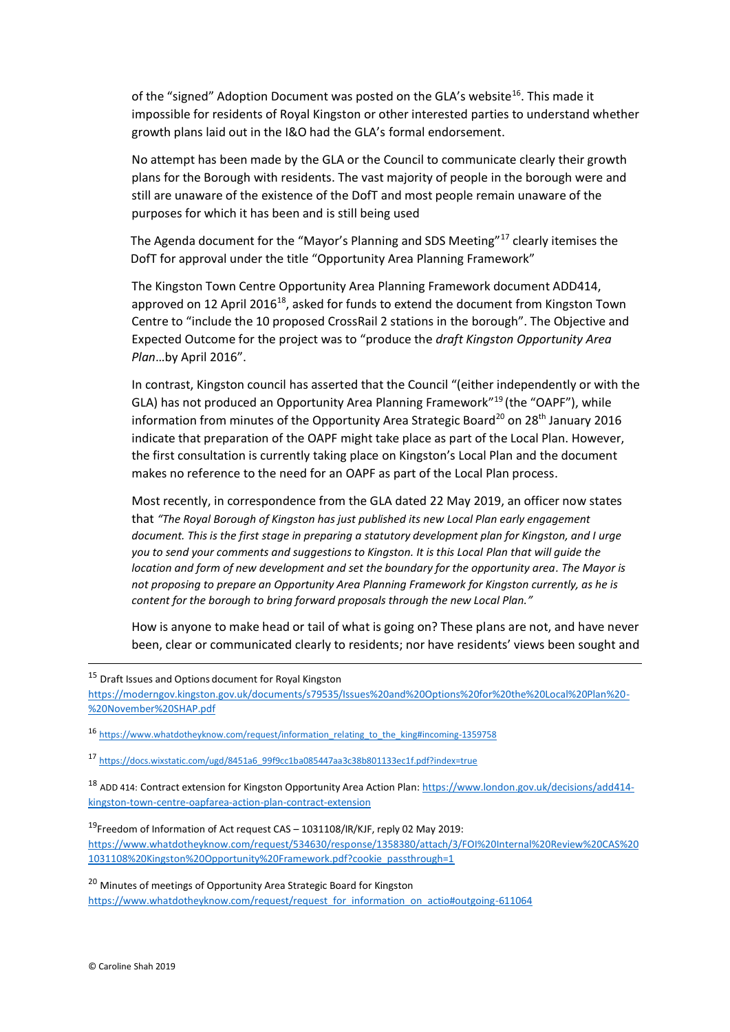of the "signed" Adoption Document was posted on the GLA's website<sup>16</sup>. This made it impossible for residents of Royal Kingston or other interested parties to understand whether growth plans laid out in the I&O had the GLA's formal endorsement.

No attempt has been made by the GLA or the Council to communicate clearly their growth plans for the Borough with residents. The vast majority of people in the borough were and still are unaware of the existence of the DofT and most people remain unaware of the purposes for which it has been and is still being used

The Agenda document for the "Mayor's Planning and SDS Meeting"<sup>17</sup> clearly itemises the DofT for approval under the title "Opportunity Area Planning Framework"

The Kingston Town Centre Opportunity Area Planning Framework document ADD414, approved on 12 April 2016 $^{18}$ , asked for funds to extend the document from Kingston Town Centre to "include the 10 proposed CrossRail 2 stations in the borough". The Objective and Expected Outcome for the project was to "produce the *draft Kingston Opportunity Area Plan*…by April 2016".

In contrast, Kingston council has asserted that the Council "(either independently or with the GLA) has not produced an Opportunity Area Planning Framework"<sup>19</sup> (the "OAPF"), while information from minutes of the Opportunity Area Strategic Board<sup>20</sup> on 28<sup>th</sup> January 2016 indicate that preparation of the OAPF might take place as part of the Local Plan. However, the first consultation is currently taking place on Kingston's Local Plan and the document makes no reference to the need for an OAPF as part of the Local Plan process.

Most recently, in correspondence from the GLA dated 22 May 2019, an officer now states that *"The Royal Borough of Kingston has just published its new Local Plan early engagement document. This is the first stage in preparing a statutory development plan for Kingston, and I urge you to send your comments and suggestions to Kingston. It is this Local Plan that will guide the location and form of new development and set the boundary for the opportunity area. The Mayor is not proposing to prepare an Opportunity Area Planning Framework for Kingston currently, as he is content for the borough to bring forward proposals through the new Local Plan."*

How is anyone to make head or tail of what is going on? These plans are not, and have never been, clear or communicated clearly to residents; nor have residents' views been sought and

<sup>15</sup> Draft Issues and Options document for Royal Kingston [https://moderngov.kingston.gov.uk/documents/s79535/Issues%20and%20Options%20for%20the%20Local%20Plan%20-](https://moderngov.kingston.gov.uk/documents/s79535/Issues%20and%20Options%20for%20the%20Local%20Plan%20-%20November%20SHAP.pdf) [%20November%20SHAP.pdf](https://moderngov.kingston.gov.uk/documents/s79535/Issues%20and%20Options%20for%20the%20Local%20Plan%20-%20November%20SHAP.pdf)

16 [https://www.whatdotheyknow.com/request/information\\_relating\\_to\\_the\\_king#incoming-1359758](https://www.whatdotheyknow.com/request/information_relating_to_the_king#incoming-1359758)

<sup>17</sup> [https://docs.wixstatic.com/ugd/8451a6\\_99f9cc1ba085447aa3c38b801133ec1f.pdf?index=true](https://docs.wixstatic.com/ugd/8451a6_99f9cc1ba085447aa3c38b801133ec1f.pdf?index=true)

<sup>18</sup> ADD 414: Contract extension for Kingston Opportunity Area Action Plan[: https://www.london.gov.uk/decisions/add414](https://www.london.gov.uk/decisions/add414-kingston-town-centre-oapfarea-action-plan-contract-extension) [kingston-town-centre-oapfarea-action-plan-contract-extension](https://www.london.gov.uk/decisions/add414-kingston-town-centre-oapfarea-action-plan-contract-extension)

<sup>19</sup>Freedom of Information of Act request CAS – 1031108/IR/KJF, reply 02 May 2019: [https://www.whatdotheyknow.com/request/534630/response/1358380/attach/3/FOI%20Internal%20Review%20CAS%20](https://www.whatdotheyknow.com/request/534630/response/1358380/attach/3/FOI%20Internal%20Review%20CAS%201031108%20Kingston%20Opportunity%20Framework.pdf?cookie_passthrough=1) [1031108%20Kingston%20Opportunity%20Framework.pdf?cookie\\_passthrough=1](https://www.whatdotheyknow.com/request/534630/response/1358380/attach/3/FOI%20Internal%20Review%20CAS%201031108%20Kingston%20Opportunity%20Framework.pdf?cookie_passthrough=1)

<sup>20</sup> Minutes of meetings of Opportunity Area Strategic Board for Kingston [https://www.whatdotheyknow.com/request/request\\_for\\_information\\_on\\_actio#outgoing-611064](https://www.whatdotheyknow.com/request/request_for_information_on_actio#outgoing-611064)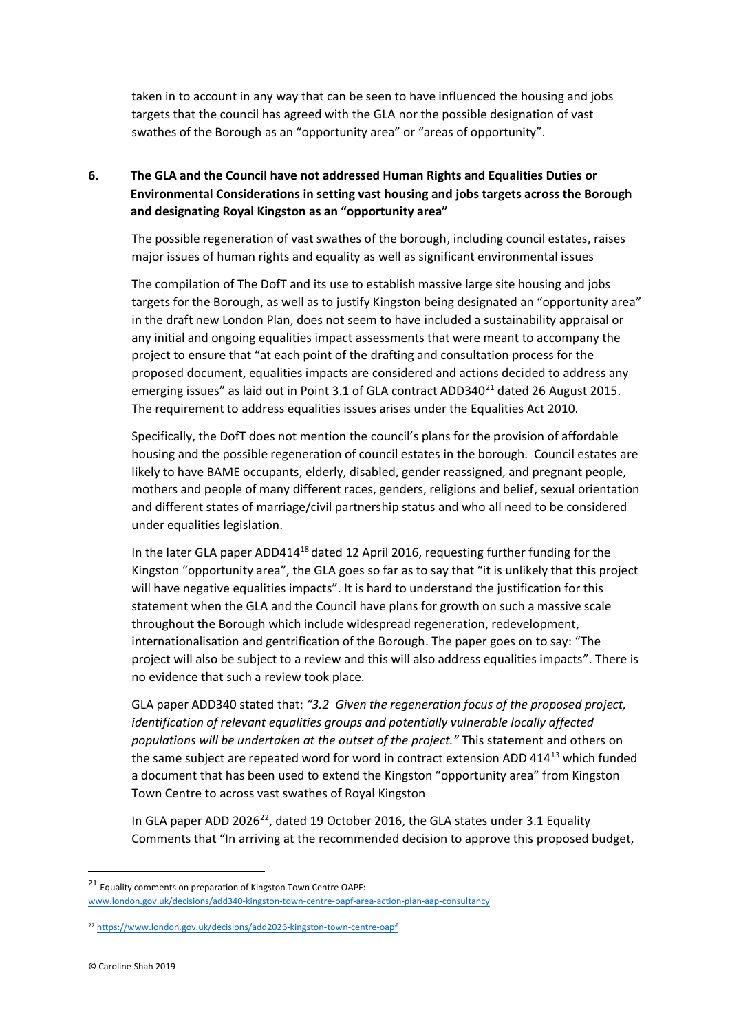taken in to account in any way that can be seen to have influenced the housing and jobs targets that the council has agreed with the GLA nor the possible designation of vast swathes of the Borough as an "opportunity area" or "areas of opportunity".

## **6. The GLA and the Council have not addressed Human Rights and Equalities Duties or Environmental Considerations in setting vast housing and jobs targets across the Borough and designating Royal Kingston as an "opportunity area"**

The possible regeneration of vast swathes of the borough, including council estates, raises major issues of human rights and equality as well as significant environmental issues

The compilation of The DofT and its use to establish massive large site housing and jobs targets for the Borough, as well as to justify Kingston being designated an "opportunity area" in the draft new London Plan, does not seem to have included a sustainability appraisal or any initial and ongoing equalities impact assessments that were meant to accompany the project to ensure that "at each point of the drafting and consultation process for the proposed document, equalities impacts are considered and actions decided to address any emerging issues" as laid out in Point 3.1 of GLA contract ADD340 $^{21}$  dated 26 August 2015. The requirement to address equalities issues arises under the Equalities Act 2010.

Specifically, the DofT does not mention the council's plans for the provision of affordable housing and the possible regeneration of council estates in the borough. Council estates are likely to have BAME occupants, elderly, disabled, gender reassigned, and pregnant people, mothers and people of many different races, genders, religions and belief, sexual orientation and different states of marriage/civil partnership status and who all need to be considered under equalities legislation.

In the later GLA paper ADD414 $18$  dated 12 April 2016, requesting further funding for the Kingston "opportunity area", the GLA goes so far as to say that "it is unlikely that this project will have negative equalities impacts". It is hard to understand the justification for this statement when the GLA and the Council have plans for growth on such a massive scale throughout the Borough which include widespread regeneration, redevelopment, internationalisation and gentrification of the Borough. The paper goes on to say: "The project will also be subject to a review and this will also address equalities impacts". There is no evidence that such a review took place.

GLA paper ADD340 stated that: *"3.2 Given the regeneration focus of the proposed project, identification of relevant equalities groups and potentially vulnerable locally affected populations will be undertaken at the outset of the project."* This statement and others on the same subject are repeated word for word in contract extension ADD 414<sup>13</sup> which funded a document that has been used to extend the Kingston "opportunity area" from Kingston Town Centre to across vast swathes of Royal Kingston

In GLA paper ADD 2026 $^{22}$ , dated 19 October 2016, the GLA states under 3.1 Equality Comments that "In arriving at the recommended decision to approve this proposed budget,

<sup>21</sup> Equality comments on preparation of Kingston Town Centre OAPF: [www.london.gov.uk/decisions/add340-kingston-town-centre-oapf-area-action-plan-aap-consultancy](http://www.london.gov.uk/decisions/add340-kingston-town-centre-oapf-area-action-plan-aap-consultancy)

<sup>22</sup> <https://www.london.gov.uk/decisions/add2026-kingston-town-centre-oapf>